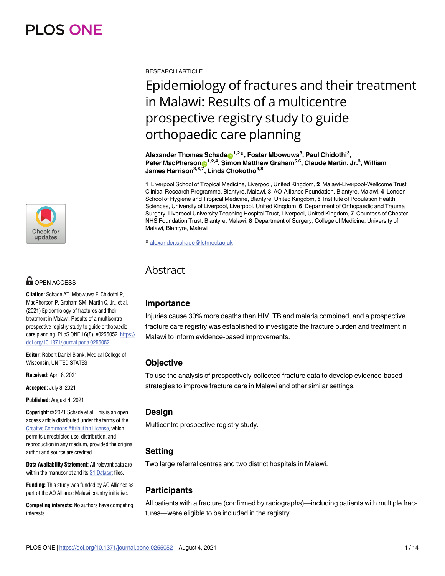

# **OPEN ACCESS**

**Citation:** Schade AT, Mbowuwa F, Chidothi P, MacPherson P, Graham SM, Martin C, Jr., et al. (2021) Epidemiology of fractures and their treatment in Malawi: Results of a multicentre prospective registry study to guide orthopaedic care planning. PLoS ONE 16(8): e0255052. [https://](https://doi.org/10.1371/journal.pone.0255052) [doi.org/10.1371/journal.pone.0255052](https://doi.org/10.1371/journal.pone.0255052)

**Editor:** Robert Daniel Blank, Medical College of Wisconsin, UNITED STATES

**Received:** April 8, 2021

**Accepted:** July 8, 2021

**Published:** August 4, 2021

**Copyright:** © 2021 Schade et al. This is an open access article distributed under the terms of the Creative Commons [Attribution](http://creativecommons.org/licenses/by/4.0/) License, which permits unrestricted use, distribution, and reproduction in any medium, provided the original author and source are credited.

**Data Availability Statement:** All relevant data are within the manuscript and its S1 [Dataset](#page-11-0) files.

**Funding:** This study was funded by AO Alliance as part of the AO Alliance Malawi country initiative.

**Competing interests:** No authors have competing **interests** 

RESEARCH ARTICLE

# Epidemiology of fractures and their treatment in Malawi: Results of a multicentre prospective registry study to guide orthopaedic care planning

 $\blacksquare$ **Alexander Thomas Schade** $\blacksquare$ **<sup>1,2</sup>\*, Foster Mbowuwa** $^3$ **, Paul Chidothi** $^3$ **,**  $\mathsf{Peter\ MacPherson} \mathbf{\odot}^{1,2,4}, \mathsf{Simon\ Matthew\ Graham}^{5,6}, \mathsf{Claude\ Martin, Jr.^3}, \mathsf{William}$ **James Harrison3,6,7, Linda Chokotho3,8**

**1** Liverpool School of Tropical Medicine, Liverpool, United Kingdom, **2** Malawi-Liverpool-Wellcome Trust Clinical Research Programme, Blantyre, Malawi, **3** AO-Alliance Foundation, Blantyre, Malawi, **4** London School of Hygiene and Tropical Medicine, Blantyre, United Kingdom, **5** Institute of Population Health Sciences, University of Liverpool, Liverpool, United Kingdom, **6** Department of Orthopaedic and Trauma Surgery, Liverpool University Teaching Hospital Trust, Liverpool, United Kingdom, **7** Countess of Chester NHS Foundation Trust, Blantyre, Malawi, **8** Department of Surgery, College of Medicine, University of Malawi, Blantyre, Malawi

\* alexander.schade@lstmed.ac.uk

# **Abstract**

# **Importance**

Injuries cause 30% more deaths than HIV, TB and malaria combined, and a prospective fracture care registry was established to investigate the fracture burden and treatment in Malawi to inform evidence-based improvements.

# **Objective**

To use the analysis of prospectively-collected fracture data to develop evidence-based strategies to improve fracture care in Malawi and other similar settings.

# **Design**

Multicentre prospective registry study.

# **Setting**

Two large referral centres and two district hospitals in Malawi.

# **Participants**

All patients with a fracture (confirmed by radiographs)—including patients with multiple fractures—were eligible to be included in the registry.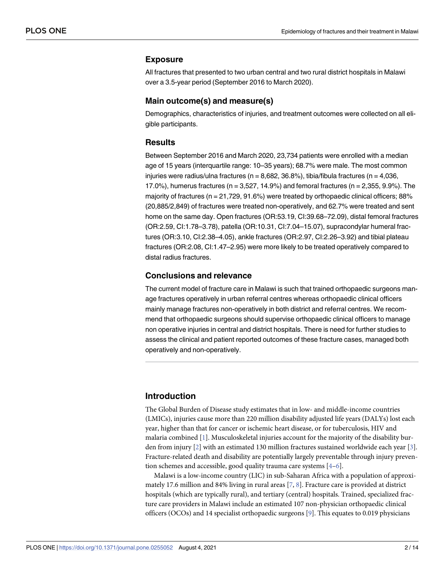#### <span id="page-1-0"></span>**Exposure**

All fractures that presented to two urban central and two rural district hospitals in Malawi over a 3.5-year period (September 2016 to March 2020).

#### **Main outcome(s) and measure(s)**

Demographics, characteristics of injuries, and treatment outcomes were collected on all eligible participants.

#### **Results**

Between September 2016 and March 2020, 23,734 patients were enrolled with a median age of 15 years (interquartile range: 10–35 years); 68.7% were male. The most common injuries were radius/ulna fractures ( $n = 8,682, 36.8\%$ ), tibia/fibula fractures ( $n = 4,036$ , 17.0%), humerus fractures (n = 3,527, 14.9%) and femoral fractures (n = 2,355, 9.9%). The majority of fractures (n = 21,729, 91.6%) were treated by orthopaedic clinical officers; 88% (20,885/2,849) of fractures were treated non-operatively, and 62.7% were treated and sent home on the same day. Open fractures (OR:53.19, CI:39.68–72.09), distal femoral fractures (OR:2.59, CI:1.78–3.78), patella (OR:10.31, CI:7.04–15.07), supracondylar humeral fractures (OR:3.10, CI:2.38–4.05), ankle fractures (OR:2.97, CI:2.26–3.92) and tibial plateau fractures (OR:2.08, CI:1.47–2.95) were more likely to be treated operatively compared to distal radius fractures.

#### **Conclusions and relevance**

The current model of fracture care in Malawi is such that trained orthopaedic surgeons manage fractures operatively in urban referral centres whereas orthopaedic clinical officers mainly manage fractures non-operatively in both district and referral centres. We recommend that orthopaedic surgeons should supervise orthopaedic clinical officers to manage non operative injuries in central and district hospitals. There is need for further studies to assess the clinical and patient reported outcomes of these fracture cases, managed both operatively and non-operatively.

# **Introduction**

The Global Burden of Disease study estimates that in low- and middle-income countries (LMICs), injuries cause more than 220 million disability adjusted life years (DALYs) lost each year, higher than that for cancer or ischemic heart disease, or for tuberculosis, HIV and malaria combined [\[1\]](#page-12-0). Musculoskeletal injuries account for the majority of the disability burden from injury [\[2\]](#page-12-0) with an estimated 130 million fractures sustained worldwide each year [\[3\]](#page-12-0). Fracture-related death and disability are potentially largely preventable through injury prevention schemes and accessible, good quality trauma care systems [\[4–6](#page-12-0)].

Malawi is a low-income country (LIC) in sub-Saharan Africa with a population of approximately 17.6 million and 84% living in rural areas [\[7,](#page-12-0) [8](#page-12-0)]. Fracture care is provided at district hospitals (which are typically rural), and tertiary (central) hospitals. Trained, specialized fracture care providers in Malawi include an estimated 107 non-physician orthopaedic clinical officers (OCOs) and 14 specialist orthopaedic surgeons [\[9](#page-12-0)]. This equates to 0.019 physicians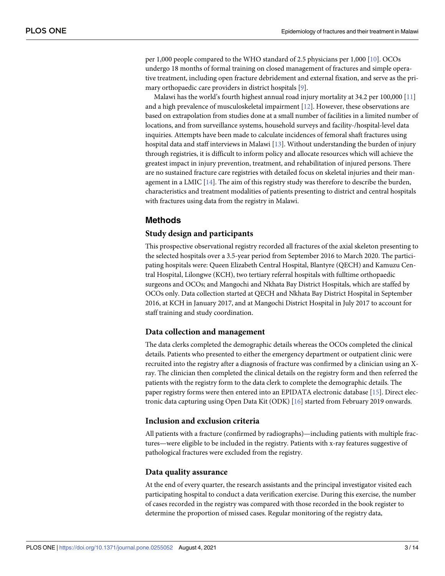<span id="page-2-0"></span>per 1,000 people compared to the WHO standard of 2.5 physicians per 1,000 [\[10\]](#page-12-0). OCOs undergo 18 months of formal training on closed management of fractures and simple operative treatment, including open fracture debridement and external fixation, and serve as the primary orthopaedic care providers in district hospitals [[9](#page-12-0)].

Malawi has the world's fourth highest annual road injury mortality at 34.2 per 100,000 [\[11\]](#page-12-0) and a high prevalence of musculoskeletal impairment [[12](#page-12-0)]. However, these observations are based on extrapolation from studies done at a small number of facilities in a limited number of locations, and from surveillance systems, household surveys and facility-/hospital-level data inquiries. Attempts have been made to calculate incidences of femoral shaft fractures using hospital data and staff interviews in Malawi  $[13]$  $[13]$  $[13]$ . Without understanding the burden of injury through registries, it is difficult to inform policy and allocate resources which will achieve the greatest impact in injury prevention, treatment, and rehabilitation of injured persons. There are no sustained fracture care registries with detailed focus on skeletal injuries and their management in a LMIC [\[14\]](#page-12-0). The aim of this registry study was therefore to describe the burden, characteristics and treatment modalities of patients presenting to district and central hospitals with fractures using data from the registry in Malawi.

# **Methods**

## **Study design and participants**

This prospective observational registry recorded all fractures of the axial skeleton presenting to the selected hospitals over a 3.5-year period from September 2016 to March 2020. The participating hospitals were: Queen Elizabeth Central Hospital, Blantyre (QECH) and Kamuzu Central Hospital, Lilongwe (KCH), two tertiary referral hospitals with fulltime orthopaedic surgeons and OCOs; and Mangochi and Nkhata Bay District Hospitals, which are staffed by OCOs only. Data collection started at QECH and Nkhata Bay District Hospital in September 2016, at KCH in January 2017, and at Mangochi District Hospital in July 2017 to account for staff training and study coordination.

# **Data collection and management**

The data clerks completed the demographic details whereas the OCOs completed the clinical details. Patients who presented to either the emergency department or outpatient clinic were recruited into the registry after a diagnosis of fracture was confirmed by a clinician using an Xray. The clinician then completed the clinical details on the registry form and then referred the patients with the registry form to the data clerk to complete the demographic details. The paper registry forms were then entered into an EPIDATA electronic database [\[15\]](#page-12-0). Direct electronic data capturing using Open Data Kit (ODK) [\[16\]](#page-12-0) started from February 2019 onwards.

## **Inclusion and exclusion criteria**

All patients with a fracture (confirmed by radiographs)—including patients with multiple fractures—were eligible to be included in the registry. Patients with x-ray features suggestive of pathological fractures were excluded from the registry.

#### **Data quality assurance**

At the end of every quarter, the research assistants and the principal investigator visited each participating hospital to conduct a data verification exercise. During this exercise, the number of cases recorded in the registry was compared with those recorded in the book register to determine the proportion of missed cases. Regular monitoring of the registry data,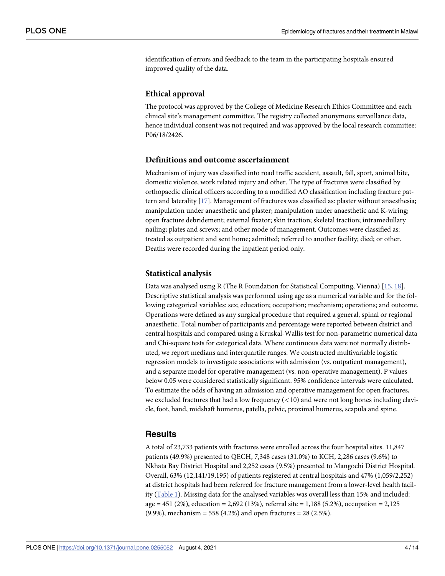<span id="page-3-0"></span>identification of errors and feedback to the team in the participating hospitals ensured improved quality of the data.

## **Ethical approval**

The protocol was approved by the College of Medicine Research Ethics Committee and each clinical site's management committee. The registry collected anonymous surveillance data, hence individual consent was not required and was approved by the local research committee: P06/18/2426.

# **Definitions and outcome ascertainment**

Mechanism of injury was classified into road traffic accident, assault, fall, sport, animal bite, domestic violence, work related injury and other. The type of fractures were classified by orthopaedic clinical officers according to a modified AO classification including fracture pattern and laterality [\[17\]](#page-12-0). Management of fractures was classified as: plaster without anaesthesia; manipulation under anaesthetic and plaster; manipulation under anaesthetic and K-wiring; open fracture debridement; external fixator; skin traction; skeletal traction; intramedullary nailing; plates and screws; and other mode of management. Outcomes were classified as: treated as outpatient and sent home; admitted; referred to another facility; died; or other. Deaths were recorded during the inpatient period only.

#### **Statistical analysis**

Data was analysed using R (The R Foundation for Statistical Computing, Vienna) [[15](#page-12-0), [18](#page-12-0)]. Descriptive statistical analysis was performed using age as a numerical variable and for the following categorical variables: sex; education; occupation; mechanism; operations; and outcome. Operations were defined as any surgical procedure that required a general, spinal or regional anaesthetic. Total number of participants and percentage were reported between district and central hospitals and compared using a Kruskal-Wallis test for non-parametric numerical data and Chi-square tests for categorical data. Where continuous data were not normally distributed, we report medians and interquartile ranges. We constructed multivariable logistic regression models to investigate associations with admission (vs. outpatient management), and a separate model for operative management (vs. non-operative management). P values below 0.05 were considered statistically significant. 95% confidence intervals were calculated. To estimate the odds of having an admission and operative management for open fractures, we excluded fractures that had a low frequency (*<*10) and were not long bones including clavicle, foot, hand, midshaft humerus, patella, pelvic, proximal humerus, scapula and spine.

## **Results**

A total of 23,733 patients with fractures were enrolled across the four hospital sites. 11,847 patients (49.9%) presented to QECH, 7,348 cases (31.0%) to KCH, 2,286 cases (9.6%) to Nkhata Bay District Hospital and 2,252 cases (9.5%) presented to Mangochi District Hospital. Overall, 63% (12,141/19,195) of patients registered at central hospitals and 47% (1,059/2,252) at district hospitals had been referred for fracture management from a lower-level health facility ([Table](#page-4-0) 1). Missing data for the analysed variables was overall less than 15% and included: age = 451 (2%), education = 2,692 (13%), referral site = 1,188 (5.2%), occupation = 2,125  $(9.9\%)$ , mechanism = 558 (4.2%) and open fractures = 28 (2.5%).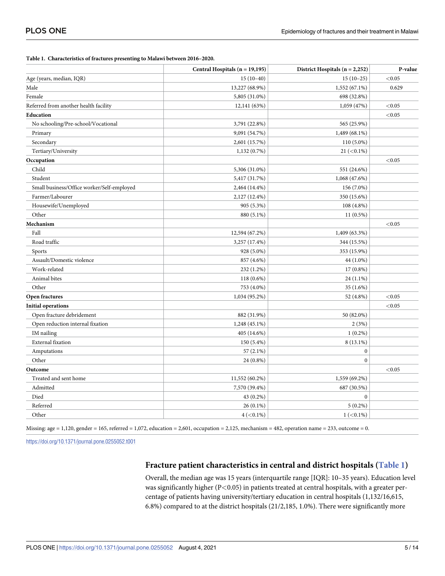<span id="page-4-0"></span>

| Table 1. Characteristics of fractures presenting to Malawi between 2016-2020. |  |
|-------------------------------------------------------------------------------|--|
|-------------------------------------------------------------------------------|--|

|                                            | Central Hospitals (n = 19,195) | District Hospitals $(n = 2,252)$ | P-value |
|--------------------------------------------|--------------------------------|----------------------------------|---------|
| Age (years, median, IQR)                   | $15(10-40)$                    | $15(10-25)$                      | < 0.05  |
| Male                                       | 13,227 (68.9%)                 | 1,552 (67.1%)                    | 0.629   |
| Female                                     | 5,805 (31.0%)                  | 698 (32.8%)                      |         |
| Referred from another health facility      | 12,141 (63%)                   | 1,059 (47%)                      | < 0.05  |
| Education                                  |                                |                                  | < 0.05  |
| No schooling/Pre-school/Vocational         | 3,791 (22.8%)                  | 565 (25.9%)                      |         |
| Primary                                    | 9,091 (54.7%)                  | 1,489 (68.1%)                    |         |
| Secondary                                  | 2,601 (15.7%)                  | 110 (5.0%)                       |         |
| Tertiary/University                        | 1,132 (0.7%)                   | $21 (< 0.1\%)$                   |         |
| Occupation                                 |                                |                                  | < 0.05  |
| Child                                      | 5,306 (31.0%)                  | 551 (24.6%)                      |         |
| Student                                    | 5,417 (31.7%)                  | 1,068 (47.6%)                    |         |
| Small business/Office worker/Self-employed | 2,464 (14.4%)                  | 156 (7.0%)                       |         |
| Farmer/Labourer                            | 2,127 (12.4%)                  | 350 (15.6%)                      |         |
| Housewife/Unemployed                       | 905 (5.3%)                     | 108 (4.8%)                       |         |
| Other                                      | 880 (5.1%)                     | $11(0.5\%)$                      |         |
| Mechanism                                  |                                |                                  | < 0.05  |
| Fall                                       | 12,594 (67.2%)                 | 1,409 (63.3%)                    |         |
| Road traffic                               | 3,257 (17.4%)                  | 344 (15.5%)                      |         |
| Sports                                     | 928 (5.0%)                     | 353 (15.9%)                      |         |
| Assault/Domestic violence                  | 857 (4.6%)                     | 44 (1.0%)                        |         |
| Work-related                               | 232 (1.2%)                     | 17 (0.8%)                        |         |
| Animal bites                               | 118 (0.6%)                     | 24 (1.1%)                        |         |
| Other                                      | 753 (4.0%)                     | 35(1.6%)                         |         |
| Open fractures                             | 1,034 (95.2%)                  | 52 (4.8%)                        | < 0.05  |
| <b>Initial operations</b>                  |                                |                                  | < 0.05  |
| Open fracture debridement                  | 882 (31.9%)                    | 50 (82.0%)                       |         |
| Open reduction internal fixation           | 1,248 (45.1%)                  | 2(3%)                            |         |
| IM nailing                                 | 405 (14.6%)                    | $1(0.2\%)$                       |         |
| External fixation                          | 150 (5.4%)                     | $8(13.1\%)$                      |         |
| Amputations                                | $57(2.1\%)$                    | $\boldsymbol{0}$                 |         |
| Other                                      | 24 (0.8%)                      | $\boldsymbol{0}$                 |         |
| Outcome                                    |                                |                                  | < 0.05  |
| Treated and sent home                      | 11,552 (60.2%)                 | 1,559 (69.2%)                    |         |
| Admitted                                   | 7,570 (39.4%)                  | 687 (30.5%)                      |         |
| Died                                       | 43 (0.2%)                      | $\boldsymbol{0}$                 |         |
| Referred                                   | 26 (0.1%)                      | $5(0.2\%)$                       |         |
| Other                                      | $4 (< 0.1\%)$                  | $1 (< 0.1\%)$                    |         |

Missing: age = 1,120, gender = 165, referred = 1,072, education = 2,601, occupation = 2,125, mechanism = 482, operation name = 233, outcome = 0.

<https://doi.org/10.1371/journal.pone.0255052.t001>

# **Fracture patient characteristics in central and district hospitals (Table 1)**

Overall, the median age was 15 years (interquartile range [IQR]: 10–35 years). Education level was significantly higher (P*<*0.05) in patients treated at central hospitals, with a greater percentage of patients having university/tertiary education in central hospitals (1,132/16,615, 6.8%) compared to at the district hospitals (21/2,185, 1.0%). There were significantly more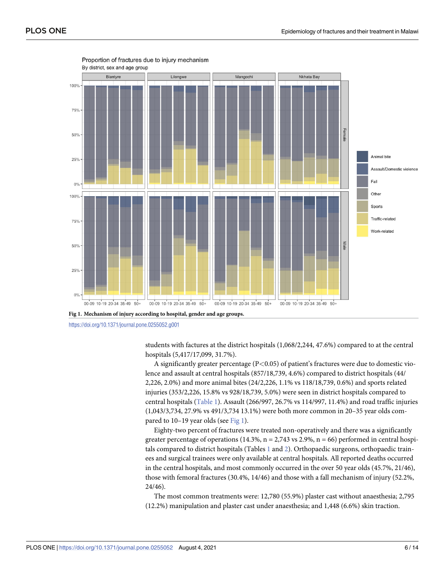<span id="page-5-0"></span>

Proportion of fractures due to injury mechanism

<https://doi.org/10.1371/journal.pone.0255052.g001>

students with factures at the district hospitals (1,068/2,244, 47.6%) compared to at the central hospitals (5,417/17,099, 31.7%).

A significantly greater percentage (P*<*0.05) of patient's fractures were due to domestic violence and assault at central hospitals (857/18,739, 4.6%) compared to district hospitals (44/ 2,226, 2.0%) and more animal bites (24/2,226, 1.1% vs 118/18,739, 0.6%) and sports related injuries (353/2,226, 15.8% vs 928/18,739, 5.0%) were seen in district hospitals compared to central hospitals [\(Table](#page-4-0) 1). Assault (266/997, 26.7% vs 114/997, 11.4%) and road traffic injuries (1,043/3,734, 27.9% vs 491/3,734 13.1%) were both more common in 20–35 year olds compared to 10–19 year olds (see Fig 1).

Eighty-two percent of fractures were treated non-operatively and there was a significantly greater percentage of operations  $(14.3\%, n = 2.743 \text{ vs } 2.9\%, n = 66)$  performed in central hospitals compared to district hospitals (Tables [1](#page-4-0) and [2](#page-6-0)). Orthopaedic surgeons, orthopaedic trainees and surgical trainees were only available at central hospitals. All reported deaths occurred in the central hospitals, and most commonly occurred in the over 50 year olds (45.7%, 21/46), those with femoral fractures (30.4%, 14/46) and those with a fall mechanism of injury (52.2%, 24/46).

The most common treatments were: 12,780 (55.9%) plaster cast without anaesthesia; 2,795 (12.2%) manipulation and plaster cast under anaesthesia; and 1,448 (6.6%) skin traction.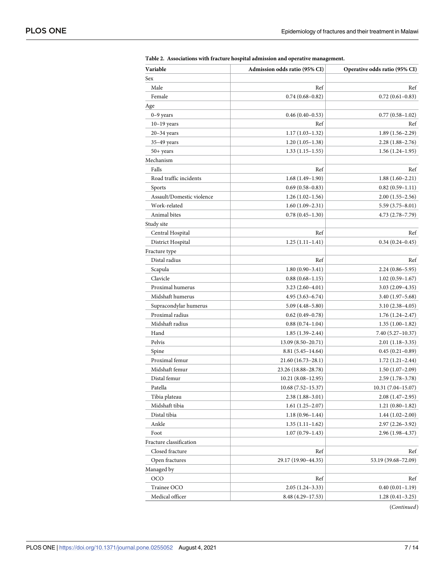| Sex<br>Male<br>Ref<br>Ref<br>Female<br>$0.74(0.68 - 0.82)$<br>$0.72(0.61 - 0.83)$<br>Age<br>$0-9$ years<br>$0.46(0.40-0.53)$<br>$0.77(0.58 - 1.02)$<br>Ref<br>$10-19$ years<br>Ref<br>$1.17(1.03-1.32)$<br>$1.89(1.56-2.29)$<br>$20 - 34$ years<br>$35-49$ years<br>$1.20(1.05-1.38)$<br>$2.28(1.88-2.76)$<br>50+ years<br>$1.33(1.15-1.55)$<br>$1.56(1.24-1.95)$<br>Mechanism<br>Falls<br>Ref<br>Ref<br>Road traffic incidents<br>$1.68(1.49-1.90)$<br>$1.88(1.60-2.21)$<br>Sports<br>$0.69(0.58-0.83)$<br>$0.82(0.59-1.11)$<br>Assault/Domestic violence<br>$1.26(1.02-1.56)$<br>$2.00(1.55-2.56)$<br>Work-related<br>$1.60(1.09-2.31)$<br>$5.59(3.75 - 8.01)$<br>Animal bites<br>$0.78(0.45-1.30)$<br>$4.73(2.78 - 7.79)$<br>Study site<br>Ref<br>Central Hospital<br>Ref<br>District Hospital<br>$1.25(1.11-1.41)$<br>$0.34(0.24 - 0.45)$<br>Fracture type<br>Distal radius<br>Ref<br>Ref<br>Scapula<br>$1.80(0.90-3.41)$<br>$2.24(0.86 - 5.95)$<br>Clavicle<br>$0.88(0.68 - 1.15)$<br>$1.02(0.59-1.67)$<br>Proximal humerus<br>$3.23(2.60-4.01)$<br>$3.03(2.09-4.35)$<br>Midshaft humerus<br>$4.95(3.63 - 6.74)$<br>$3.40(1.97 - 5.68)$<br>Supracondylar humerus<br>$5.09(4.48 - 5.80)$<br>$3.10(2.38-4.05)$<br>Proximal radius<br>$0.62(0.49-0.78)$<br>$1.76(1.24 - 2.47)$<br>Midshaft radius<br>$0.88(0.74-1.04)$<br>$1.35(1.00-1.82)$<br>Hand<br>$1.85(1.39-2.44)$<br>7.40 (5.27–10.37)<br>Pelvis<br>13.09 (8.50–20.71)<br>$2.01(1.18-3.35)$<br>Spine<br>$8.81(5.45 - 14.64)$<br>$0.45(0.21-0.89)$<br>Proximal femur<br>21.60 (16.73–28.1)<br>$1.72(1.21-2.44)$<br>Midshaft femur<br>23.26 (18.88–28.78)<br>$1.50(1.07-2.09)$<br>Distal femur<br>$10.21(8.08-12.95)$<br>$2.59(1.78-3.78)$<br>Patella<br>$10.68(7.52 - 15.37)$<br>$10.31(7.04-15.07)$<br>Tibia plateau<br>$2.38(1.88-3.01)$<br>$2.08(1.47-2.95)$<br>Midshaft tibia<br>$1.21(0.80-1.82)$<br>$1.61(1.25-2.07)$<br>Distal tibia<br>$1.18(0.96 - 1.44)$<br>$1.44(1.02 - 2.00)$<br>Ankle<br>$1.35(1.11-1.62)$<br>$2.97(2.26 - 3.92)$<br>Foot<br>$1.07(0.79-1.43)$<br>$2.96(1.98-4.37)$<br>Fracture classification<br>Closed fracture<br>Ref<br>Ref<br>Open fractures<br>29.17 (19.90–44.35)<br>53.19 (39.68–72.09)<br>Managed by<br>OCO<br>Ref<br>Ref<br>Trainee OCO<br>$0.40(0.01-1.19)$<br>$2.05(1.24-3.33)$ | Variable        | Admission odds ratio (95% CI) | Operative odds ratio (95% CI) |
|----------------------------------------------------------------------------------------------------------------------------------------------------------------------------------------------------------------------------------------------------------------------------------------------------------------------------------------------------------------------------------------------------------------------------------------------------------------------------------------------------------------------------------------------------------------------------------------------------------------------------------------------------------------------------------------------------------------------------------------------------------------------------------------------------------------------------------------------------------------------------------------------------------------------------------------------------------------------------------------------------------------------------------------------------------------------------------------------------------------------------------------------------------------------------------------------------------------------------------------------------------------------------------------------------------------------------------------------------------------------------------------------------------------------------------------------------------------------------------------------------------------------------------------------------------------------------------------------------------------------------------------------------------------------------------------------------------------------------------------------------------------------------------------------------------------------------------------------------------------------------------------------------------------------------------------------------------------------------------------------------------------------------------------------------------------------------------------------------------------------------------------------------------------------------------------------------------------------------------------------------------------------------------|-----------------|-------------------------------|-------------------------------|
|                                                                                                                                                                                                                                                                                                                                                                                                                                                                                                                                                                                                                                                                                                                                                                                                                                                                                                                                                                                                                                                                                                                                                                                                                                                                                                                                                                                                                                                                                                                                                                                                                                                                                                                                                                                                                                                                                                                                                                                                                                                                                                                                                                                                                                                                                  |                 |                               |                               |
|                                                                                                                                                                                                                                                                                                                                                                                                                                                                                                                                                                                                                                                                                                                                                                                                                                                                                                                                                                                                                                                                                                                                                                                                                                                                                                                                                                                                                                                                                                                                                                                                                                                                                                                                                                                                                                                                                                                                                                                                                                                                                                                                                                                                                                                                                  |                 |                               |                               |
|                                                                                                                                                                                                                                                                                                                                                                                                                                                                                                                                                                                                                                                                                                                                                                                                                                                                                                                                                                                                                                                                                                                                                                                                                                                                                                                                                                                                                                                                                                                                                                                                                                                                                                                                                                                                                                                                                                                                                                                                                                                                                                                                                                                                                                                                                  |                 |                               |                               |
|                                                                                                                                                                                                                                                                                                                                                                                                                                                                                                                                                                                                                                                                                                                                                                                                                                                                                                                                                                                                                                                                                                                                                                                                                                                                                                                                                                                                                                                                                                                                                                                                                                                                                                                                                                                                                                                                                                                                                                                                                                                                                                                                                                                                                                                                                  |                 |                               |                               |
|                                                                                                                                                                                                                                                                                                                                                                                                                                                                                                                                                                                                                                                                                                                                                                                                                                                                                                                                                                                                                                                                                                                                                                                                                                                                                                                                                                                                                                                                                                                                                                                                                                                                                                                                                                                                                                                                                                                                                                                                                                                                                                                                                                                                                                                                                  |                 |                               |                               |
|                                                                                                                                                                                                                                                                                                                                                                                                                                                                                                                                                                                                                                                                                                                                                                                                                                                                                                                                                                                                                                                                                                                                                                                                                                                                                                                                                                                                                                                                                                                                                                                                                                                                                                                                                                                                                                                                                                                                                                                                                                                                                                                                                                                                                                                                                  |                 |                               |                               |
|                                                                                                                                                                                                                                                                                                                                                                                                                                                                                                                                                                                                                                                                                                                                                                                                                                                                                                                                                                                                                                                                                                                                                                                                                                                                                                                                                                                                                                                                                                                                                                                                                                                                                                                                                                                                                                                                                                                                                                                                                                                                                                                                                                                                                                                                                  |                 |                               |                               |
|                                                                                                                                                                                                                                                                                                                                                                                                                                                                                                                                                                                                                                                                                                                                                                                                                                                                                                                                                                                                                                                                                                                                                                                                                                                                                                                                                                                                                                                                                                                                                                                                                                                                                                                                                                                                                                                                                                                                                                                                                                                                                                                                                                                                                                                                                  |                 |                               |                               |
|                                                                                                                                                                                                                                                                                                                                                                                                                                                                                                                                                                                                                                                                                                                                                                                                                                                                                                                                                                                                                                                                                                                                                                                                                                                                                                                                                                                                                                                                                                                                                                                                                                                                                                                                                                                                                                                                                                                                                                                                                                                                                                                                                                                                                                                                                  |                 |                               |                               |
|                                                                                                                                                                                                                                                                                                                                                                                                                                                                                                                                                                                                                                                                                                                                                                                                                                                                                                                                                                                                                                                                                                                                                                                                                                                                                                                                                                                                                                                                                                                                                                                                                                                                                                                                                                                                                                                                                                                                                                                                                                                                                                                                                                                                                                                                                  |                 |                               |                               |
|                                                                                                                                                                                                                                                                                                                                                                                                                                                                                                                                                                                                                                                                                                                                                                                                                                                                                                                                                                                                                                                                                                                                                                                                                                                                                                                                                                                                                                                                                                                                                                                                                                                                                                                                                                                                                                                                                                                                                                                                                                                                                                                                                                                                                                                                                  |                 |                               |                               |
|                                                                                                                                                                                                                                                                                                                                                                                                                                                                                                                                                                                                                                                                                                                                                                                                                                                                                                                                                                                                                                                                                                                                                                                                                                                                                                                                                                                                                                                                                                                                                                                                                                                                                                                                                                                                                                                                                                                                                                                                                                                                                                                                                                                                                                                                                  |                 |                               |                               |
|                                                                                                                                                                                                                                                                                                                                                                                                                                                                                                                                                                                                                                                                                                                                                                                                                                                                                                                                                                                                                                                                                                                                                                                                                                                                                                                                                                                                                                                                                                                                                                                                                                                                                                                                                                                                                                                                                                                                                                                                                                                                                                                                                                                                                                                                                  |                 |                               |                               |
|                                                                                                                                                                                                                                                                                                                                                                                                                                                                                                                                                                                                                                                                                                                                                                                                                                                                                                                                                                                                                                                                                                                                                                                                                                                                                                                                                                                                                                                                                                                                                                                                                                                                                                                                                                                                                                                                                                                                                                                                                                                                                                                                                                                                                                                                                  |                 |                               |                               |
|                                                                                                                                                                                                                                                                                                                                                                                                                                                                                                                                                                                                                                                                                                                                                                                                                                                                                                                                                                                                                                                                                                                                                                                                                                                                                                                                                                                                                                                                                                                                                                                                                                                                                                                                                                                                                                                                                                                                                                                                                                                                                                                                                                                                                                                                                  |                 |                               |                               |
|                                                                                                                                                                                                                                                                                                                                                                                                                                                                                                                                                                                                                                                                                                                                                                                                                                                                                                                                                                                                                                                                                                                                                                                                                                                                                                                                                                                                                                                                                                                                                                                                                                                                                                                                                                                                                                                                                                                                                                                                                                                                                                                                                                                                                                                                                  |                 |                               |                               |
|                                                                                                                                                                                                                                                                                                                                                                                                                                                                                                                                                                                                                                                                                                                                                                                                                                                                                                                                                                                                                                                                                                                                                                                                                                                                                                                                                                                                                                                                                                                                                                                                                                                                                                                                                                                                                                                                                                                                                                                                                                                                                                                                                                                                                                                                                  |                 |                               |                               |
|                                                                                                                                                                                                                                                                                                                                                                                                                                                                                                                                                                                                                                                                                                                                                                                                                                                                                                                                                                                                                                                                                                                                                                                                                                                                                                                                                                                                                                                                                                                                                                                                                                                                                                                                                                                                                                                                                                                                                                                                                                                                                                                                                                                                                                                                                  |                 |                               |                               |
|                                                                                                                                                                                                                                                                                                                                                                                                                                                                                                                                                                                                                                                                                                                                                                                                                                                                                                                                                                                                                                                                                                                                                                                                                                                                                                                                                                                                                                                                                                                                                                                                                                                                                                                                                                                                                                                                                                                                                                                                                                                                                                                                                                                                                                                                                  |                 |                               |                               |
|                                                                                                                                                                                                                                                                                                                                                                                                                                                                                                                                                                                                                                                                                                                                                                                                                                                                                                                                                                                                                                                                                                                                                                                                                                                                                                                                                                                                                                                                                                                                                                                                                                                                                                                                                                                                                                                                                                                                                                                                                                                                                                                                                                                                                                                                                  |                 |                               |                               |
|                                                                                                                                                                                                                                                                                                                                                                                                                                                                                                                                                                                                                                                                                                                                                                                                                                                                                                                                                                                                                                                                                                                                                                                                                                                                                                                                                                                                                                                                                                                                                                                                                                                                                                                                                                                                                                                                                                                                                                                                                                                                                                                                                                                                                                                                                  |                 |                               |                               |
|                                                                                                                                                                                                                                                                                                                                                                                                                                                                                                                                                                                                                                                                                                                                                                                                                                                                                                                                                                                                                                                                                                                                                                                                                                                                                                                                                                                                                                                                                                                                                                                                                                                                                                                                                                                                                                                                                                                                                                                                                                                                                                                                                                                                                                                                                  |                 |                               |                               |
|                                                                                                                                                                                                                                                                                                                                                                                                                                                                                                                                                                                                                                                                                                                                                                                                                                                                                                                                                                                                                                                                                                                                                                                                                                                                                                                                                                                                                                                                                                                                                                                                                                                                                                                                                                                                                                                                                                                                                                                                                                                                                                                                                                                                                                                                                  |                 |                               |                               |
|                                                                                                                                                                                                                                                                                                                                                                                                                                                                                                                                                                                                                                                                                                                                                                                                                                                                                                                                                                                                                                                                                                                                                                                                                                                                                                                                                                                                                                                                                                                                                                                                                                                                                                                                                                                                                                                                                                                                                                                                                                                                                                                                                                                                                                                                                  |                 |                               |                               |
|                                                                                                                                                                                                                                                                                                                                                                                                                                                                                                                                                                                                                                                                                                                                                                                                                                                                                                                                                                                                                                                                                                                                                                                                                                                                                                                                                                                                                                                                                                                                                                                                                                                                                                                                                                                                                                                                                                                                                                                                                                                                                                                                                                                                                                                                                  |                 |                               |                               |
|                                                                                                                                                                                                                                                                                                                                                                                                                                                                                                                                                                                                                                                                                                                                                                                                                                                                                                                                                                                                                                                                                                                                                                                                                                                                                                                                                                                                                                                                                                                                                                                                                                                                                                                                                                                                                                                                                                                                                                                                                                                                                                                                                                                                                                                                                  |                 |                               |                               |
|                                                                                                                                                                                                                                                                                                                                                                                                                                                                                                                                                                                                                                                                                                                                                                                                                                                                                                                                                                                                                                                                                                                                                                                                                                                                                                                                                                                                                                                                                                                                                                                                                                                                                                                                                                                                                                                                                                                                                                                                                                                                                                                                                                                                                                                                                  |                 |                               |                               |
|                                                                                                                                                                                                                                                                                                                                                                                                                                                                                                                                                                                                                                                                                                                                                                                                                                                                                                                                                                                                                                                                                                                                                                                                                                                                                                                                                                                                                                                                                                                                                                                                                                                                                                                                                                                                                                                                                                                                                                                                                                                                                                                                                                                                                                                                                  |                 |                               |                               |
|                                                                                                                                                                                                                                                                                                                                                                                                                                                                                                                                                                                                                                                                                                                                                                                                                                                                                                                                                                                                                                                                                                                                                                                                                                                                                                                                                                                                                                                                                                                                                                                                                                                                                                                                                                                                                                                                                                                                                                                                                                                                                                                                                                                                                                                                                  |                 |                               |                               |
|                                                                                                                                                                                                                                                                                                                                                                                                                                                                                                                                                                                                                                                                                                                                                                                                                                                                                                                                                                                                                                                                                                                                                                                                                                                                                                                                                                                                                                                                                                                                                                                                                                                                                                                                                                                                                                                                                                                                                                                                                                                                                                                                                                                                                                                                                  |                 |                               |                               |
|                                                                                                                                                                                                                                                                                                                                                                                                                                                                                                                                                                                                                                                                                                                                                                                                                                                                                                                                                                                                                                                                                                                                                                                                                                                                                                                                                                                                                                                                                                                                                                                                                                                                                                                                                                                                                                                                                                                                                                                                                                                                                                                                                                                                                                                                                  |                 |                               |                               |
|                                                                                                                                                                                                                                                                                                                                                                                                                                                                                                                                                                                                                                                                                                                                                                                                                                                                                                                                                                                                                                                                                                                                                                                                                                                                                                                                                                                                                                                                                                                                                                                                                                                                                                                                                                                                                                                                                                                                                                                                                                                                                                                                                                                                                                                                                  |                 |                               |                               |
|                                                                                                                                                                                                                                                                                                                                                                                                                                                                                                                                                                                                                                                                                                                                                                                                                                                                                                                                                                                                                                                                                                                                                                                                                                                                                                                                                                                                                                                                                                                                                                                                                                                                                                                                                                                                                                                                                                                                                                                                                                                                                                                                                                                                                                                                                  |                 |                               |                               |
|                                                                                                                                                                                                                                                                                                                                                                                                                                                                                                                                                                                                                                                                                                                                                                                                                                                                                                                                                                                                                                                                                                                                                                                                                                                                                                                                                                                                                                                                                                                                                                                                                                                                                                                                                                                                                                                                                                                                                                                                                                                                                                                                                                                                                                                                                  |                 |                               |                               |
|                                                                                                                                                                                                                                                                                                                                                                                                                                                                                                                                                                                                                                                                                                                                                                                                                                                                                                                                                                                                                                                                                                                                                                                                                                                                                                                                                                                                                                                                                                                                                                                                                                                                                                                                                                                                                                                                                                                                                                                                                                                                                                                                                                                                                                                                                  |                 |                               |                               |
|                                                                                                                                                                                                                                                                                                                                                                                                                                                                                                                                                                                                                                                                                                                                                                                                                                                                                                                                                                                                                                                                                                                                                                                                                                                                                                                                                                                                                                                                                                                                                                                                                                                                                                                                                                                                                                                                                                                                                                                                                                                                                                                                                                                                                                                                                  |                 |                               |                               |
|                                                                                                                                                                                                                                                                                                                                                                                                                                                                                                                                                                                                                                                                                                                                                                                                                                                                                                                                                                                                                                                                                                                                                                                                                                                                                                                                                                                                                                                                                                                                                                                                                                                                                                                                                                                                                                                                                                                                                                                                                                                                                                                                                                                                                                                                                  |                 |                               |                               |
|                                                                                                                                                                                                                                                                                                                                                                                                                                                                                                                                                                                                                                                                                                                                                                                                                                                                                                                                                                                                                                                                                                                                                                                                                                                                                                                                                                                                                                                                                                                                                                                                                                                                                                                                                                                                                                                                                                                                                                                                                                                                                                                                                                                                                                                                                  |                 |                               |                               |
|                                                                                                                                                                                                                                                                                                                                                                                                                                                                                                                                                                                                                                                                                                                                                                                                                                                                                                                                                                                                                                                                                                                                                                                                                                                                                                                                                                                                                                                                                                                                                                                                                                                                                                                                                                                                                                                                                                                                                                                                                                                                                                                                                                                                                                                                                  |                 |                               |                               |
|                                                                                                                                                                                                                                                                                                                                                                                                                                                                                                                                                                                                                                                                                                                                                                                                                                                                                                                                                                                                                                                                                                                                                                                                                                                                                                                                                                                                                                                                                                                                                                                                                                                                                                                                                                                                                                                                                                                                                                                                                                                                                                                                                                                                                                                                                  |                 |                               |                               |
|                                                                                                                                                                                                                                                                                                                                                                                                                                                                                                                                                                                                                                                                                                                                                                                                                                                                                                                                                                                                                                                                                                                                                                                                                                                                                                                                                                                                                                                                                                                                                                                                                                                                                                                                                                                                                                                                                                                                                                                                                                                                                                                                                                                                                                                                                  |                 |                               |                               |
|                                                                                                                                                                                                                                                                                                                                                                                                                                                                                                                                                                                                                                                                                                                                                                                                                                                                                                                                                                                                                                                                                                                                                                                                                                                                                                                                                                                                                                                                                                                                                                                                                                                                                                                                                                                                                                                                                                                                                                                                                                                                                                                                                                                                                                                                                  |                 |                               |                               |
|                                                                                                                                                                                                                                                                                                                                                                                                                                                                                                                                                                                                                                                                                                                                                                                                                                                                                                                                                                                                                                                                                                                                                                                                                                                                                                                                                                                                                                                                                                                                                                                                                                                                                                                                                                                                                                                                                                                                                                                                                                                                                                                                                                                                                                                                                  |                 |                               |                               |
|                                                                                                                                                                                                                                                                                                                                                                                                                                                                                                                                                                                                                                                                                                                                                                                                                                                                                                                                                                                                                                                                                                                                                                                                                                                                                                                                                                                                                                                                                                                                                                                                                                                                                                                                                                                                                                                                                                                                                                                                                                                                                                                                                                                                                                                                                  |                 |                               |                               |
|                                                                                                                                                                                                                                                                                                                                                                                                                                                                                                                                                                                                                                                                                                                                                                                                                                                                                                                                                                                                                                                                                                                                                                                                                                                                                                                                                                                                                                                                                                                                                                                                                                                                                                                                                                                                                                                                                                                                                                                                                                                                                                                                                                                                                                                                                  |                 |                               |                               |
|                                                                                                                                                                                                                                                                                                                                                                                                                                                                                                                                                                                                                                                                                                                                                                                                                                                                                                                                                                                                                                                                                                                                                                                                                                                                                                                                                                                                                                                                                                                                                                                                                                                                                                                                                                                                                                                                                                                                                                                                                                                                                                                                                                                                                                                                                  |                 |                               |                               |
| $8.48(4.29 - 17.53)$<br>$1.28(0.41-3.25)$                                                                                                                                                                                                                                                                                                                                                                                                                                                                                                                                                                                                                                                                                                                                                                                                                                                                                                                                                                                                                                                                                                                                                                                                                                                                                                                                                                                                                                                                                                                                                                                                                                                                                                                                                                                                                                                                                                                                                                                                                                                                                                                                                                                                                                        | Medical officer |                               |                               |

<span id="page-6-0"></span>**[Table](#page-5-0) 2. Associations with fracture hospital admission and operative management.**

(*Continued*)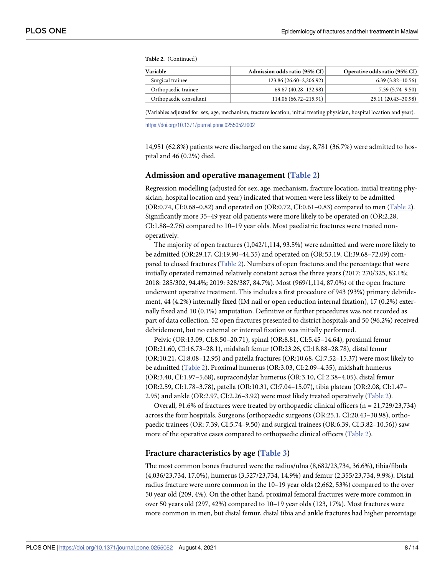<span id="page-7-0"></span>**Table 2.** (Continued)

| Variable               | Admission odds ratio (95% CI) | Operative odds ratio (95% CI) |
|------------------------|-------------------------------|-------------------------------|
| Surgical trainee       | 123.86 (26.60–2,206.92)       | $6.39(3.82 - 10.56)$          |
| Orthopaedic trainee    | 69.67 (40.28-132.98)          | $7.39(5.74 - 9.50)$           |
| Orthopaedic consultant | 114.06 (66.72–215.91)         | 25.11 (20.43–30.98)           |

(Variables adjusted for: sex, age, mechanism, fracture location, initial treating physician, hospital location and year).

<https://doi.org/10.1371/journal.pone.0255052.t002>

14,951 (62.8%) patients were discharged on the same day, 8,781 (36.7%) were admitted to hospital and 46 (0.2%) died.

#### **Admission and operative management ([Table](#page-6-0) 2)**

Regression modelling (adjusted for sex, age, mechanism, fracture location, initial treating physician, hospital location and year) indicated that women were less likely to be admitted (OR:0.74, CI:0.68–0.82) and operated on (OR:0.72, CI:0.61–0.83) compared to men [\(Table](#page-6-0) 2). Significantly more 35–49 year old patients were more likely to be operated on (OR:2.28, CI:1.88–2.76) compared to 10–19 year olds. Most paediatric fractures were treated nonoperatively.

The majority of open fractures (1,042/1,114, 93.5%) were admitted and were more likely to be admitted (OR:29.17, CI:19.90–44.35) and operated on (OR:53.19, CI:39.68–72.09) compared to closed fractures ([Table](#page-6-0) 2). Numbers of open fractures and the percentage that were initially operated remained relatively constant across the three years (2017: 270/325, 83.1%; 2018: 285/302, 94.4%; 2019: 328/387, 84.7%). Most (969/1,114, 87.0%) of the open fracture underwent operative treatment. This includes a first procedure of 943 (93%) primary debridement, 44 (4.2%) internally fixed (IM nail or open reduction internal fixation), 17 (0.2%) externally fixed and 10 (0.1%) amputation. Definitive or further procedures was not recorded as part of data collection. 52 open fractures presented to district hospitals and 50 (96.2%) received debridement, but no external or internal fixation was initially performed.

Pelvic (OR:13.09, CI:8.50–20.71), spinal (OR:8.81, CI:5.45–14.64), proximal femur (OR:21.60, CI:16.73–28.1), midshaft femur (OR:23.26, CI:18.88–28.78), distal femur (OR:10.21, CI:8.08–12.95) and patella fractures (OR:10.68, CI:7.52–15.37) were most likely to be admitted [\(Table](#page-6-0) 2). Proximal humerus (OR:3.03, CI:2.09–4.35), midshaft humerus (OR:3.40, CI:1.97–5.68), supracondylar humerus (OR:3.10, CI:2.38–4.05), distal femur (OR:2.59, CI:1.78–3.78), patella (OR:10.31, CI:7.04–15.07), tibia plateau (OR:2.08, CI:1.47– 2.95) and ankle (OR:2.97, CI:2.26–3.92) were most likely treated operatively ([Table](#page-6-0) 2).

Overall, 91.6% of fractures were treated by orthopaedic clinical officers (n = 21,729/23,734) across the four hospitals. Surgeons (orthopaedic surgeons (OR:25.1, CI:20.43–30.98), orthopaedic trainees (OR: 7.39, CI:5.74–9.50) and surgical trainees (OR:6.39, CI:3.82–10.56)) saw more of the operative cases compared to orthopaedic clinical officers [\(Table](#page-6-0) 2).

#### **Fracture characteristics by age [\(Table](#page-8-0) 3)**

The most common bones fractured were the radius/ulna (8,682/23,734, 36.6%), tibia/fibula (4,036/23,734, 17.0%), humerus (3,527/23,734, 14.9%) and femur (2,355/23,734, 9.9%). Distal radius fracture were more common in the 10–19 year olds (2,662, 53%) compared to the over 50 year old (209, 4%). On the other hand, proximal femoral fractures were more common in over 50 years old (297, 42%) compared to 10–19 year olds (123, 17%). Most fractures were more common in men, but distal femur, distal tibia and ankle fractures had higher percentage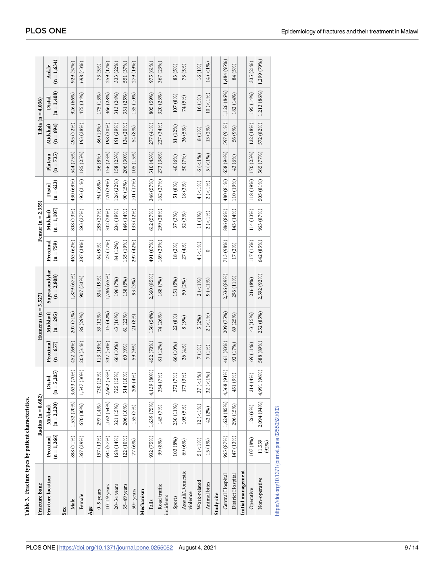<span id="page-8-0"></span>

| Fracture bone                                     |                           | Radius $(n = 8,682)$      |                             |                         | Humerus ( $n = 3,527$ ) |                                |                         | Femur ( $n = 2,355$ )      |                       |                        |                         | Tibia ( $n = 4,036$ )   |                         |
|---------------------------------------------------|---------------------------|---------------------------|-----------------------------|-------------------------|-------------------------|--------------------------------|-------------------------|----------------------------|-----------------------|------------------------|-------------------------|-------------------------|-------------------------|
| Fracture location                                 | $(n = 1,266)$<br>Proximal | $(n = 2,220)$<br>Midshaft | 5,205)<br>Distal<br>⊫<br>تا | Proximal<br>$(n = 657)$ | Midshaft<br>$(n = 295)$ | Supracondylar<br>$(n = 2,808)$ | Proximal<br>$(n = 759)$ | $(n = 1, 107)$<br>Midshaft | $(n = 623)$<br>Distal | $(n = 735)$<br>Plateau | Midshaft<br>$(n = 694)$ | $(n = 1,408)$<br>Distal | $(n = 1, 634)$<br>Ankle |
| Sex                                               |                           |                           |                             |                         |                         |                                |                         |                            |                       |                        |                         |                         |                         |
| Male                                              | 888 (71%)                 | 1,532 (70%)               | 3,633 (70%)                 | 452 (69%)               | 207 (71%)               | 1,879 (67%)                    | 463 (62%)               | 808 (73%)                  | 430 (69%)             | 544 (75%)              | 495 (72%)               | 926 (66%)               | 929 (57%)               |
| Female                                            | 367 (29%)                 | 670 (30%)                 | 1,547 (30%)                 | 203 (31%)               | 86 (29%)                | 907 (33%)                      | 287 (38%)               | 293 (27%)                  | 193 (31%)             | 185 (25%)              | 193 (28%)               | 475 (34%)               | 698 (43%)               |
| Age                                               |                           |                           |                             |                         |                         |                                |                         |                            |                       |                        |                         |                         |                         |
| $0-9$ years                                       | 157 (13%)                 | 297 (14%)                 | (15%)<br>730                | 113 (18%)               | 33 (12%)                | 534 (19%)                      | 64 (9%)                 | 285 (27%)                  | 94 (16%)              | 56 (8%)                | 86 (13%)                | 175 (13%)               | 73 (5%)                 |
| $10-19$ years                                     | 694 (57%)                 | 1,162 (54%)               | 2,662 (53%)                 | 337 (53%)               | 115 (42%)               | 1,786 (65%)                    | 123 (17%)               | 302 (28%)                  | 170 (29%)             | 156 (23%)              | 198 (30%)               | 366 (28%)               | 259 (17%)               |
| $20-34$ years                                     | 168 (14%)                 | 321 (15%)                 | (15%)<br>725                | 66 (10%)                | 43 (16%)                | 196 (7%)                       | 84 (12%)                | 204 (19%)                  | 126 (22%)             | 158 (23%)              | 191 (29%)               | 313 (24%)               | 333 (22%)               |
| $35-49$ years                                     | 122 (10%)                 | 206 (10%)                 | (10%)<br>514                | 60 (9%)                 | 61 (22%)                | 138 (5%)                       | 135 (19%)               | 146 (14%)                  | 90 (15%)              | 206 (30%)              | 134 (20%)               | 331 (25%)               | 551 (37%)               |
| $50+years$                                        | 77 (6%)                   | 155 (7%)                  | 209 (4%)                    | 59 (9%)                 | 21 (8%)                 | 93 (3%)                        | 297 (42%)               | 133 (12%)                  | 101 (17%)             | 105 (15%)              | 54 (8%)                 | 135 (10%)               | 279 (19%)               |
| Mechanism                                         |                           |                           |                             |                         |                         |                                |                         |                            |                       |                        |                         |                         |                         |
| Falls                                             | 932 (75%)                 | 1,639 (75%)               | 4,139 (80%)                 | 452 (70%)               | 156 (54%)               | 2,360 (85%)                    | 491 (67%)               | 612 (57%)                  | 346 (57%)             | 310 (43%)              | 277 (41%)               | 805 (59%)               | 975 (61%)               |
| Road traffic<br>incidents                         | 99 (8%)                   | 145 (7%)                  | 354 (7%)                    | 81 (12%)                | 74 (26%)                | 188 (7%)                       | 169 (23%)               | 299 (28%)                  | 162 (27%)             | 273 (38%)              | 227 (34%)               | 320 (23%)               | 367 (23%)               |
| Sports                                            | 103 (8%)                  | 230 (11%)                 | 372 (7%)                    | 66 (10%)                | 22 (8%)                 | 151 (5%)                       | 18 (2%)                 | 37 (3%)                    | 51 (8%)               | 40 (6%)                | 81 (12%)                | 107 (8%)                | 83 (5%)                 |
| Assault/Domestic<br>violence                      | 69 (6%)                   | 105 (5%)                  | 173 (3%)                    | 26 (4%)                 | 8(3%)                   | 50 (2%)                        | 27 (4%)                 | 32 (3%)                    | 18(3%)                | 50 (7%)                | 36 (5%)                 | 74 (5%)                 | 73 (5%)                 |
| Work-related                                      | $5($ < $1\%)$             | $12(51\%)$                | $( < 1\%)$<br>37            | 7 (1%)                  | 5(2%)                   | $2($ < $1\%)$                  | $4($ < $1\%)$           | 11 (1%)                    | $4($ <1%)             | $6($ <1%)              | 8 (1%)                  | 16 (1%)                 | 16 (1%)                 |
| Animal bites                                      | 15 (1%)                   | 42 (2%)                   | $($ <1% $)$<br>32           | 7 (1%)                  | $2($ < $1\%$ )          | $9($ < $1\%)$                  | $\circ$                 | $2($ < $1\%$ )             | $2($ < $1\%$ )        | $5($ < $1\%$ )         | 13(2%)                  | $10 (< 1\%)$            | $14 (-1%)$              |
| Study site                                        |                           |                           |                             |                         |                         |                                |                         |                            |                       |                        |                         |                         |                         |
| Central Hospital                                  | 965 (87%)                 | 1,624 (85%)               | 4,368 (91%)                 | 461 (83%)               | 209 (75%)               | 2,336 (89%)                    | 713 (98%)               | 886 (86%)                  | 480 (81%)             | 658 (94%)              | 597 (91%)               | 1,126 (86%)             | 1,484 (95%)             |
| District Hospital                                 | 147 (13%)                 | 296 (15%)                 | 451 (9%)                    | 92 (17%)                | 69(25%)                 | 296 (11%)                      | 17 (2%)                 | 143 (14%)                  | 110 (19%)             | 43 (6%)                | 56 (9%)                 | 182 (14%)               | 84 (5%)                 |
| Initial management                                |                           |                           |                             |                         |                         |                                |                         |                            |                       |                        |                         |                         |                         |
| Operative                                         | 107 (8%)                  | 126 (6%)                  | 214 (4%)                    | 69 (11%)                | 43 (15%)                | 216 (8%)                       | 117 (15%)               | 114 (13%)                  | 118 (19%)             | 170 (23%)              | 122 (18%)               | 195 (14%)               | 335 (21%)               |
| Non-operative                                     | 11,559<br>(92%)           | 2,094 (94%)               | 4,991 (96%)                 | 588 (89%)               | 252 (85%)               | 2,592 (92%)                    | 642 (85%)               | 963 (87%)                  | 505 (81%)             | 565 (77%)              | 572 (82%)               | 1,213 (86%)             | 1,299 (79%)             |
| https://doi.org/10.1371/journal.pone.0255052.t003 |                           |                           |                             |                         |                         |                                |                         |                            |                       |                        |                         |                         |                         |

| i                        |  |
|--------------------------|--|
| יי טברטבי                |  |
|                          |  |
|                          |  |
|                          |  |
|                          |  |
|                          |  |
|                          |  |
|                          |  |
|                          |  |
| <b>I</b> no no           |  |
|                          |  |
|                          |  |
|                          |  |
|                          |  |
|                          |  |
|                          |  |
|                          |  |
|                          |  |
|                          |  |
| <b>Contract Contract</b> |  |
| こうしょう                    |  |
|                          |  |
|                          |  |
|                          |  |
|                          |  |
|                          |  |
|                          |  |
|                          |  |
|                          |  |
|                          |  |
| l                        |  |
|                          |  |
|                          |  |
|                          |  |
|                          |  |
|                          |  |
|                          |  |
|                          |  |
|                          |  |
|                          |  |

**[Table](#page-7-0) 3. Fracture types by patient characteristics.**

Table 3. Fracture types by patient characteristics.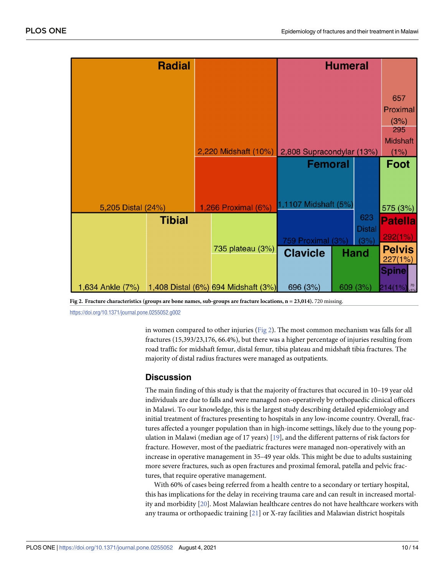<span id="page-9-0"></span>

| <b>Radial</b>                                        |                      |                           | <b>Humeral</b> |                      |                          |
|------------------------------------------------------|----------------------|---------------------------|----------------|----------------------|--------------------------|
|                                                      |                      |                           |                |                      |                          |
|                                                      |                      |                           |                |                      | 657                      |
|                                                      |                      |                           |                |                      | Proximal                 |
|                                                      |                      |                           |                |                      | (3%)                     |
|                                                      |                      |                           |                |                      | 295<br><b>Midshaft</b>   |
|                                                      | 2,220 Midshaft (10%) | 2,808 Supracondylar (13%) |                |                      | (1%)                     |
|                                                      |                      | <b>Femoral</b>            |                |                      | <b>Foot</b>              |
|                                                      |                      |                           |                |                      |                          |
|                                                      |                      |                           |                |                      |                          |
|                                                      |                      | 1,1107 Midshaft (5%)      |                |                      |                          |
| 5,205 Distal (24%)                                   | 1,266 Proximal (6%)  |                           |                |                      | 575 (3%)                 |
| <b>Tibial</b>                                        |                      |                           |                | 623<br><b>Distal</b> | <b>Patella</b>           |
|                                                      |                      | 759 Proximal (3%)         |                | (3%)                 | 292(1%)                  |
|                                                      | 735 plateau (3%)     | <b>Clavicle</b>           |                | Hand                 | <b>Pelvis</b>            |
|                                                      |                      |                           |                |                      | 227(1%)                  |
|                                                      |                      |                           |                |                      | <b>Spine</b>             |
| 1,634 Ankle (7%) 1,408 Distal (6%) 694 Midshaft (3%) |                      | 696 (3%)                  |                | 609 (3%)             | $214(1%) \frac{70}{51%}$ |

**Fig 2. Fracture characteristics (groups are bone names, sub-groups are fracture locations, n = 23,014).** 720 missing.

<https://doi.org/10.1371/journal.pone.0255052.g002>

in women compared to other injuries (Fig 2). The most common mechanism was falls for all fractures (15,393/23,176, 66.4%), but there was a higher percentage of injuries resulting from road traffic for midshaft femur, distal femur, tibia plateau and midshaft tibia fractures. The majority of distal radius fractures were managed as outpatients.

# **Discussion**

The main finding of this study is that the majority of fractures that occured in 10–19 year old individuals are due to falls and were managed non-operatively by orthopaedic clinical officers in Malawi. To our knowledge, this is the largest study describing detailed epidemiology and initial treatment of fractures presenting to hospitals in any low-income country. Overall, fractures affected a younger population than in high-income settings, likely due to the young population in Malawi (median age of 17 years) [\[19\]](#page-12-0), and the different patterns of risk factors for fracture. However, most of the paediatric fractures were managed non-operatively with an increase in operative management in 35–49 year olds. This might be due to adults sustaining more severe fractures, such as open fractures and proximal femoral, patella and pelvic fractures, that require operative management.

With 60% of cases being referred from a health centre to a secondary or tertiary hospital, this has implications for the delay in receiving trauma care and can result in increased mortality and morbidity [[20](#page-12-0)]. Most Malawian healthcare centres do not have healthcare workers with any trauma or orthopaedic training [\[21\]](#page-12-0) or X-ray facilities and Malawian district hospitals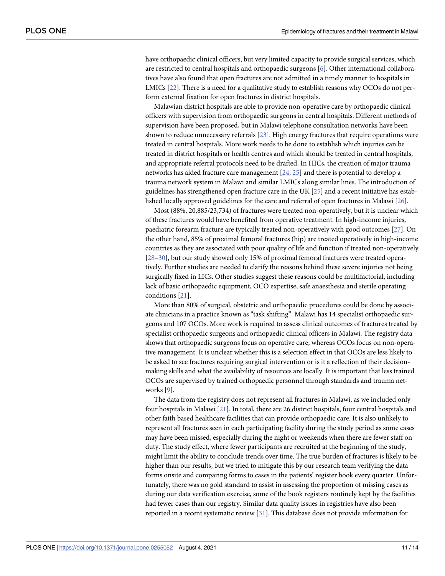<span id="page-10-0"></span>have orthopaedic clinical officers, but very limited capacity to provide surgical services, which are restricted to central hospitals and orthopaedic surgeons [\[6](#page-12-0)]. Other international collaboratives have also found that open fractures are not admitted in a timely manner to hospitals in LMICs [[22](#page-13-0)]. There is a need for a qualitative study to establish reasons why OCOs do not perform external fixation for open fractures in district hospitals.

Malawian district hospitals are able to provide non-operative care by orthopaedic clinical officers with supervision from orthopaedic surgeons in central hospitals. Different methods of supervision have been proposed, but in Malawi telephone consultation networks have been shown to reduce unnecessary referrals [\[23\]](#page-13-0). High energy fractures that require operations were treated in central hospitals. More work needs to be done to establish which injuries can be treated in district hospitals or health centres and which should be treated in central hospitals, and appropriate referral protocols need to be drafted. In HICs, the creation of major trauma networks has aided fracture care management [[24](#page-13-0), [25](#page-13-0)] and there is potential to develop a trauma network system in Malawi and similar LMICs along similar lines. The introduction of guidelines has strengthened open fracture care in the UK [[25](#page-13-0)] and a recent initiative has established locally approved guidelines for the care and referral of open fractures in Malawi [\[26\]](#page-13-0).

Most (88%, 20,885/23,734) of fractures were treated non-operatively, but it is unclear which of these fractures would have benefited from operative treatment. In high-income injuries, paediatric forearm fracture are typically treated non-operatively with good outcomes [\[27\]](#page-13-0). On the other hand, 85% of proximal femoral fractures (hip) are treated operatively in high-income countries as they are associated with poor quality of life and function if treated non-operatively [\[28–30\]](#page-13-0), but our study showed only 15% of proximal femoral fractures were treated operatively. Further studies are needed to clarify the reasons behind these severe injuries not being surgically fixed in LICs. Other studies suggest these reasons could be multifactorial, including lack of basic orthopaedic equipment, OCO expertise, safe anaesthesia and sterile operating conditions [\[21\]](#page-12-0).

More than 80% of surgical, obstetric and orthopaedic procedures could be done by associate clinicians in a practice known as "task shifting". Malawi has 14 specialist orthopaedic surgeons and 107 OCOs. More work is required to assess clinical outcomes of fractures treated by specialist orthopaedic surgeons and orthopaedic clinical officers in Malawi. The registry data shows that orthopaedic surgeons focus on operative care, whereas OCOs focus on non-operative management. It is unclear whether this is a selection effect in that OCOs are less likely to be asked to see fractures requiring surgical intervention or is it a reflection of their decisionmaking skills and what the availability of resources are locally. It is important that less trained OCOs are supervised by trained orthopaedic personnel through standards and trauma networks [[9\]](#page-12-0).

The data from the registry does not represent all fractures in Malawi, as we included only four hospitals in Malawi [\[21\]](#page-12-0). In total, there are 26 district hospitals, four central hospitals and other faith based healthcare facilities that can provide orthopaedic care. It is also unlikely to represent all fractures seen in each participating facility during the study period as some cases may have been missed, especially during the night or weekends when there are fewer staff on duty. The study effect, where fewer participants are recruited at the beginning of the study, might limit the ability to conclude trends over time. The true burden of fractures is likely to be higher than our results, but we tried to mitigate this by our research team verifying the data forms onsite and comparing forms to cases in the patients' register book every quarter. Unfortunately, there was no gold standard to assist in assessing the proportion of missing cases as during our data verification exercise, some of the book registers routinely kept by the facilities had fewer cases than our registry. Similar data quality issues in registries have also been reported in a recent systematic review [\[31\]](#page-13-0). This database does not provide information for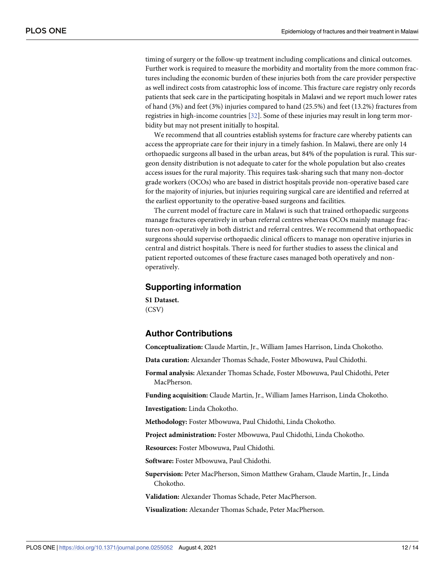<span id="page-11-0"></span>timing of surgery or the follow-up treatment including complications and clinical outcomes. Further work is required to measure the morbidity and mortality from the more common fractures including the economic burden of these injuries both from the care provider perspective as well indirect costs from catastrophic loss of income. This fracture care registry only records patients that seek care in the participating hospitals in Malawi and we report much lower rates of hand (3%) and feet (3%) injuries compared to hand (25.5%) and feet (13.2%) fractures from registries in high-income countries [\[32\]](#page-13-0). Some of these injuries may result in long term morbidity but may not present initially to hospital.

We recommend that all countries establish systems for fracture care whereby patients can access the appropriate care for their injury in a timely fashion. In Malawi, there are only 14 orthopaedic surgeons all based in the urban areas, but 84% of the population is rural. This surgeon density distribution is not adequate to cater for the whole population but also creates access issues for the rural majority. This requires task-sharing such that many non-doctor grade workers (OCOs) who are based in district hospitals provide non-operative based care for the majority of injuries, but injuries requiring surgical care are identified and referred at the earliest opportunity to the operative-based surgeons and facilities.

The current model of fracture care in Malawi is such that trained orthopaedic surgeons manage fractures operatively in urban referral centres whereas OCOs mainly manage fractures non-operatively in both district and referral centres. We recommend that orthopaedic surgeons should supervise orthopaedic clinical officers to manage non operative injuries in central and district hospitals. There is need for further studies to assess the clinical and patient reported outcomes of these fracture cases managed both operatively and nonoperatively.

## **Supporting information**

**S1 [Dataset.](http://www.plosone.org/article/fetchSingleRepresentation.action?uri=info:doi/10.1371/journal.pone.0255052.s001)** (CSV)

# **Author Contributions**

**Conceptualization:** Claude Martin, Jr., William James Harrison, Linda Chokotho.

**Data curation:** Alexander Thomas Schade, Foster Mbowuwa, Paul Chidothi.

**Formal analysis:** Alexander Thomas Schade, Foster Mbowuwa, Paul Chidothi, Peter MacPherson.

**Funding acquisition:** Claude Martin, Jr., William James Harrison, Linda Chokotho.

**Investigation:** Linda Chokotho.

**Methodology:** Foster Mbowuwa, Paul Chidothi, Linda Chokotho.

**Project administration:** Foster Mbowuwa, Paul Chidothi, Linda Chokotho.

**Resources:** Foster Mbowuwa, Paul Chidothi.

**Software:** Foster Mbowuwa, Paul Chidothi.

**Supervision:** Peter MacPherson, Simon Matthew Graham, Claude Martin, Jr., Linda Chokotho.

**Validation:** Alexander Thomas Schade, Peter MacPherson.

**Visualization:** Alexander Thomas Schade, Peter MacPherson.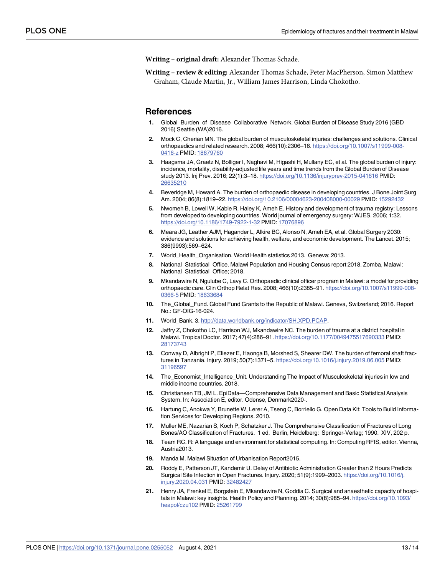<span id="page-12-0"></span>**Writing – original draft:** Alexander Thomas Schade.

**Writing – review & editing:** Alexander Thomas Schade, Peter MacPherson, Simon Matthew Graham, Claude Martin, Jr., William James Harrison, Linda Chokotho.

#### **References**

- **[1](#page-1-0).** Global\_Burden\_of\_Disease\_Collaborative\_Network. Global Burden of Disease Study 2016 (GBD 2016) Seattle (WA)2016.
- **[2](#page-1-0).** Mock C, Cherian MN. The global burden of musculoskeletal injuries: challenges and solutions. Clinical orthopaedics and related research. 2008; 466(10):2306–16. [https://doi.org/10.1007/s11999-008-](https://doi.org/10.1007/s11999-008-0416-z) [0416-z](https://doi.org/10.1007/s11999-008-0416-z) PMID: [18679760](http://www.ncbi.nlm.nih.gov/pubmed/18679760)
- **[3](#page-1-0).** Haagsma JA, Graetz N, Bolliger I, Naghavi M, Higashi H, Mullany EC, et al. The global burden of injury: incidence, mortality, disability-adjusted life years and time trends from the Global Burden of Disease study 2013. Inj Prev. 2016; 22(1):3–18. <https://doi.org/10.1136/injuryprev-2015-041616> PMID: [26635210](http://www.ncbi.nlm.nih.gov/pubmed/26635210)
- **[4](#page-1-0).** Beveridge M, Howard A. The burden of orthopaedic disease in developing countries. J Bone Joint Surg Am. 2004; 86(8):1819–22. <https://doi.org/10.2106/00004623-200408000-00029> PMID: [15292432](http://www.ncbi.nlm.nih.gov/pubmed/15292432)
- **5.** Nwomeh B, Lowell W, Kable R, Haley K, Ameh E. History and development of trauma registry: Lessons from developed to developing countries. World journal of emergency surgery: WJES. 2006; 1:32. <https://doi.org/10.1186/1749-7922-1-32> PMID: [17076896](http://www.ncbi.nlm.nih.gov/pubmed/17076896)
- **[6](#page-1-0).** Meara JG, Leather AJM, Hagander L, Alkire BC, Alonso N, Ameh EA, et al. Global Surgery 2030: evidence and solutions for achieving health, welfare, and economic development. The Lancet. 2015; 386(9993):569–624.
- **[7](#page-1-0).** World\_Health\_Organisation. World Health statistics 2013. Geneva; 2013.
- **[8](#page-1-0).** National\_Statistical\_Office. Malawi Population and Housing Census report 2018. Zomba, Malawi: National\_Statistical\_Office; 2018.
- **[9](#page-1-0).** Mkandawire N, Ngulube C, Lavy C. Orthopaedic clinical officer program in Malawi: a model for providing orthopaedic care. Clin Orthop Relat Res. 2008; 466(10):2385–91. [https://doi.org/10.1007/s11999-008-](https://doi.org/10.1007/s11999-008-0366-5) [0366-5](https://doi.org/10.1007/s11999-008-0366-5) PMID: [18633684](http://www.ncbi.nlm.nih.gov/pubmed/18633684)
- **[10](#page-2-0).** The\_Global\_Fund. Global Fund Grants to the Republic of Malawi. Geneva, Switzerland; 2016. Report No.: GF-OIG-16-024.
- **[11](#page-2-0).** World\_Bank. 3. <http://data.worldbank.org/indicator/SH.XPD.PCAP>.
- **[12](#page-2-0).** Jaffry Z, Chokotho LC, Harrison WJ, Mkandawire NC. The burden of trauma at a district hospital in Malawi. Tropical Doctor. 2017; 47(4):286–91. <https://doi.org/10.1177/0049475517690333> PMID: [28173743](http://www.ncbi.nlm.nih.gov/pubmed/28173743)
- **[13](#page-2-0).** Conway D, Albright P, Eliezer E, Haonga B, Morshed S, Shearer DW. The burden of femoral shaft fractures in Tanzania. Injury. 2019; 50(7):1371–5. <https://doi.org/10.1016/j.injury.2019.06.005> PMID: [31196597](http://www.ncbi.nlm.nih.gov/pubmed/31196597)
- [14](#page-2-0). The Economist Intelligence Unit. Understanding The Impact of Musculoskeletal injuries in low and middle income countries. 2018.
- **[15](#page-2-0).** Christiansen TB, JM L. EpiData—Comprehensive Data Management and Basic Statistical Analysis System. In: Association E, editor. Odense, Denmark2020-.
- **[16](#page-2-0).** Hartung C, Anokwa Y, Brunette W, Lerer A, Tseng C, Borriello G. Open Data Kit: Tools to Build Information Services for Developing Regions. 2010.
- **[17](#page-3-0).** Muller ME, Nazarian S, Koch P, Schatzker J. The Comprehensive Classification of Fractures of Long Bones/AO Classification of Fractures. 1 ed. Berlin, Heidelberg: Springer-Verlag; 1990. XIV, 202 p.
- **[18](#page-3-0).** Team RC. R: A language and environment for statistical computing. In: Computing RFfS, editor. Vienna, Austria2013.
- **[19](#page-9-0).** Manda M. Malawi Situation of Urbanisation Report2015.
- **[20](#page-9-0).** Roddy E, Patterson JT, Kandemir U. Delay of Antibiotic Administration Greater than 2 Hours Predicts Surgical Site Infection in Open Fractures. Injury. 2020; 51(9):1999–2003. [https://doi.org/10.1016/j.](https://doi.org/10.1016/j.injury.2020.04.031) [injury.2020.04.031](https://doi.org/10.1016/j.injury.2020.04.031) PMID: [32482427](http://www.ncbi.nlm.nih.gov/pubmed/32482427)
- **[21](#page-9-0).** Henry JA, Frenkel E, Borgstein E, Mkandawire N, Goddia C. Surgical and anaesthetic capacity of hospitals in Malawi: key insights. Health Policy and Planning. 2014; 30(8):985–94. [https://doi.org/10.1093/](https://doi.org/10.1093/heapol/czu102) [heapol/czu102](https://doi.org/10.1093/heapol/czu102) PMID: [25261799](http://www.ncbi.nlm.nih.gov/pubmed/25261799)